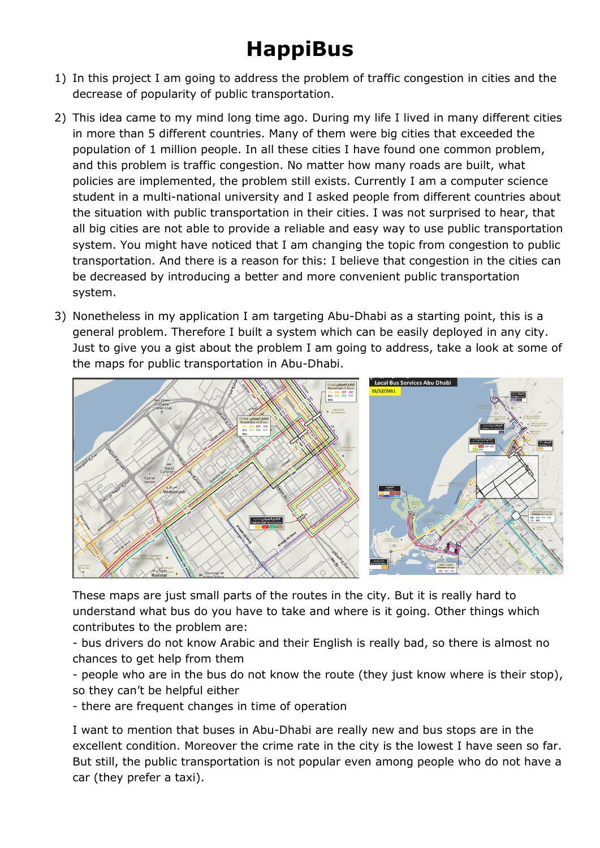## **HappiBus**

- 1) In this project I am going to address the problem of traffic congestion in cities and the decrease of popularity of public transportation.
- 2) This idea came to my mind long time ago. During my life I lived in many different cities in more than 5 different countries. Many of them were big cities that exceeded the population of 1 million people. In all these cities I have found one common problem, and this problem is traffic congestion. No matter how many roads are built, what policies are implemented, the problem still exists. Currently I am a computer science student in a multi-national university and I asked people from different countries about the situation with public transportation in their cities. I was not surprised to hear, that all big cities are not able to provide a reliable and easy way to use public transportation system. You might have noticed that I am changing the topic from congestion to public transportation. And there is a reason for this: I believe that congestion in the cities can be decreased by introducing a better and more convenient public transportation system.
- 3) Nonetheless in my application I am targeting Abu-Dhabi as a starting point, this is a general problem. Therefore I built a system which can be easily deployed in any city. Just to give you a gist about the problem I am going to address, take a look at some of the maps for public transportation in Abu-Dhabi.



These maps are just small parts of the routes in the city. But it is really hard to understand what bus do you have to take and where is it going. Other things which contributes to the problem are:

- bus drivers do not know Arabic and their English is really bad, so there is almost no chances to get help from them

- people who are in the bus do not know the route (they just know where is their stop), so they can't be helpful either

- there are frequent changes in time of operation

I want to mention that buses in Abu-Dhabi are really new and bus stops are in the excellent condition. Moreover the crime rate in the city is the lowest I have seen so far. But still, the public transportation is not popular even among people who do not have a car (they prefer a taxi).